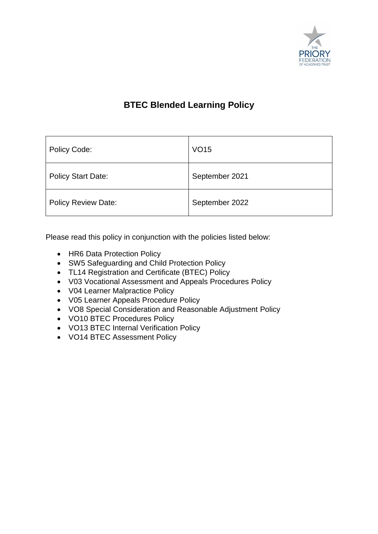

### **BTEC Blended Learning Policy**

| Policy Code:               | <b>VO15</b>    |
|----------------------------|----------------|
| <b>Policy Start Date:</b>  | September 2021 |
| <b>Policy Review Date:</b> | September 2022 |

Please read this policy in conjunction with the policies listed below:

- HR6 Data Protection Policy
- SW5 Safeguarding and Child Protection Policy
- TL14 Registration and Certificate (BTEC) Policy
- V03 Vocational Assessment and Appeals Procedures Policy
- V04 Learner Malpractice Policy
- V05 Learner Appeals Procedure Policy
- VO8 Special Consideration and Reasonable Adjustment Policy
- VO10 BTEC Procedures Policy
- VO13 BTEC Internal Verification Policy
- VO14 BTEC Assessment Policy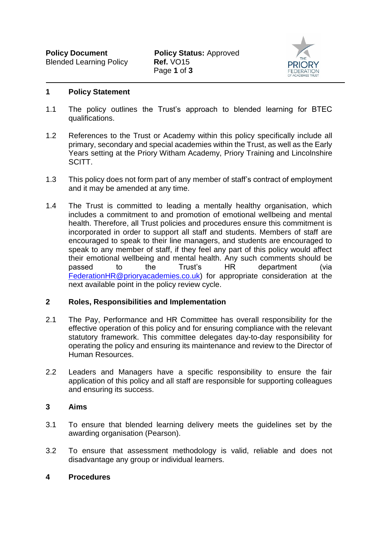

#### **1 Policy Statement**

- 1.1 The policy outlines the Trust's approach to blended learning for BTEC qualifications.
- 1.2 References to the Trust or Academy within this policy specifically include all primary, secondary and special academies within the Trust, as well as the Early Years setting at the Priory Witham Academy, Priory Training and Lincolnshire SCITT.
- 1.3 This policy does not form part of any member of staff's contract of employment and it may be amended at any time.
- 1.4 The Trust is committed to leading a mentally healthy organisation, which includes a commitment to and promotion of emotional wellbeing and mental health. Therefore, all Trust policies and procedures ensure this commitment is incorporated in order to support all staff and students. Members of staff are encouraged to speak to their line managers, and students are encouraged to speak to any member of staff, if they feel any part of this policy would affect their emotional wellbeing and mental health. Any such comments should be passed to the Trust's HR department (via [FederationHR@prioryacademies.co.uk\)](mailto:FederationHR@prioryacademies.co.uk) for appropriate consideration at the next available point in the policy review cycle.

#### **2 Roles, Responsibilities and Implementation**

- 2.1 The Pay, Performance and HR Committee has overall responsibility for the effective operation of this policy and for ensuring compliance with the relevant statutory framework. This committee delegates day-to-day responsibility for operating the policy and ensuring its maintenance and review to the Director of Human Resources.
- 2.2 Leaders and Managers have a specific responsibility to ensure the fair application of this policy and all staff are responsible for supporting colleagues and ensuring its success.

#### **3 Aims**

- 3.1 To ensure that blended learning delivery meets the guidelines set by the awarding organisation (Pearson).
- 3.2 To ensure that assessment methodology is valid, reliable and does not disadvantage any group or individual learners.

#### **4 Procedures**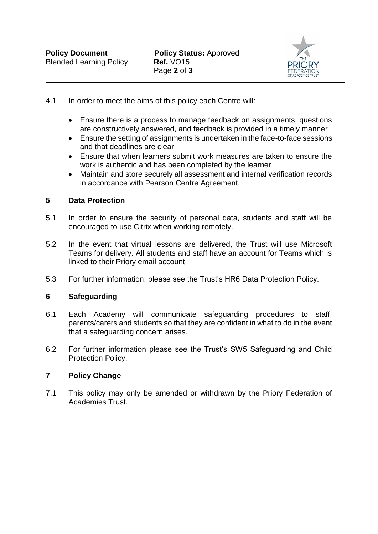

- 4.1 In order to meet the aims of this policy each Centre will:
	- Ensure there is a process to manage feedback on assignments, questions are constructively answered, and feedback is provided in a timely manner
	- Ensure the setting of assignments is undertaken in the face-to-face sessions and that deadlines are clear
	- Ensure that when learners submit work measures are taken to ensure the work is authentic and has been completed by the learner
	- Maintain and store securely all assessment and internal verification records in accordance with Pearson Centre Agreement.

#### **5 Data Protection**

- 5.1 In order to ensure the security of personal data, students and staff will be encouraged to use Citrix when working remotely.
- 5.2 In the event that virtual lessons are delivered, the Trust will use Microsoft Teams for delivery. All students and staff have an account for Teams which is linked to their Priory email account.
- 5.3 For further information, please see the Trust's HR6 Data Protection Policy.

#### **6 Safeguarding**

- 6.1 Each Academy will communicate safeguarding procedures to staff, parents/carers and students so that they are confident in what to do in the event that a safeguarding concern arises.
- 6.2 For further information please see the Trust's SW5 Safeguarding and Child Protection Policy.

#### **7 Policy Change**

7.1 This policy may only be amended or withdrawn by the Priory Federation of Academies Trust.